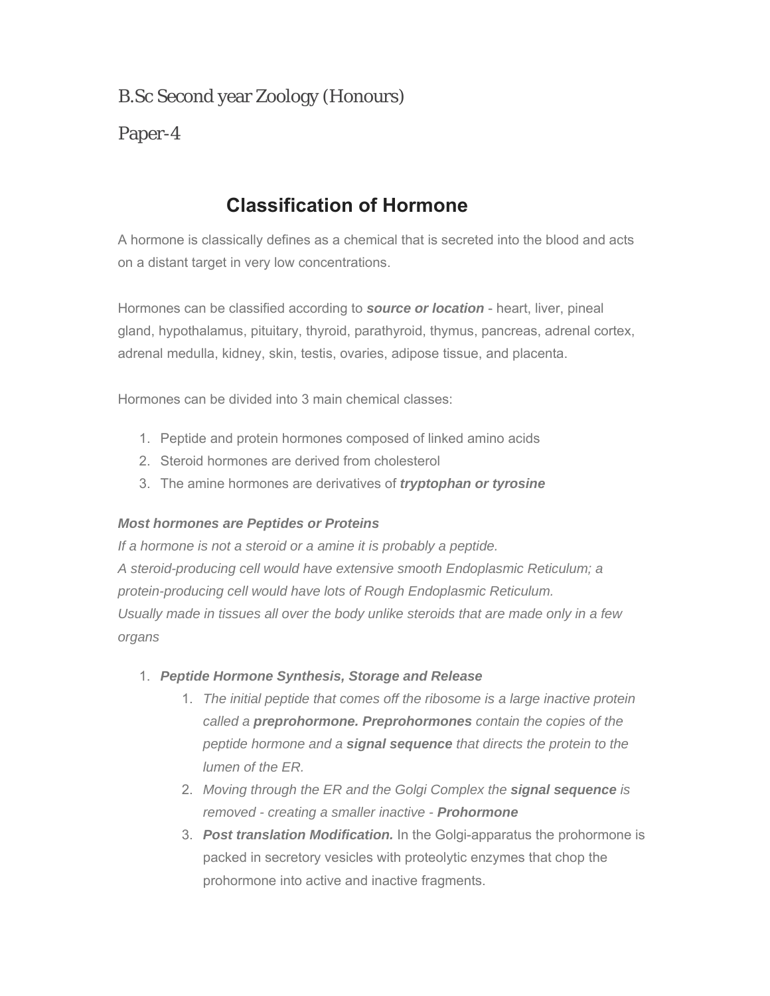## B.Sc Second year Zoology (Honours)

## Paper-4

# **Classification of Hormone**

A hormone is classically defines as a chemical that is secreted into the blood and acts on a distant target in very low concentrations.

Hormones can be classified according to *source or location* - heart, liver, pineal gland, hypothalamus, pituitary, thyroid, parathyroid, thymus, pancreas, adrenal cortex, adrenal medulla, kidney, skin, testis, ovaries, adipose tissue, and placenta.

Hormones can be divided into 3 main chemical classes:

- 1. Peptide and protein hormones composed of linked amino acids
- 2. Steroid hormones are derived from cholesterol
- 3. The amine hormones are derivatives of *tryptophan or tyrosine*

#### *Most hormones are Peptides or Proteins*

*If a hormone is not a steroid or a amine it is probably a peptide. A steroid-producing cell would have extensive smooth Endoplasmic Reticulum; a protein-producing cell would have lots of Rough Endoplasmic Reticulum. Usually made in tissues all over the body unlike steroids that are made only in a few organs*

- 1. *Peptide Hormone Synthesis, Storage and Release*
	- 1. *The initial peptide that comes off the ribosome is a large inactive protein called a preprohormone. Preprohormones contain the copies of the peptide hormone and a signal sequence that directs the protein to the lumen of the ER.*
	- 2. *Moving through the ER and the Golgi Complex the signal sequence is removed - creating a smaller inactive - Prohormone*
	- 3. *Post translation Modification.* In the Golgi-apparatus the prohormone is packed in secretory vesicles with proteolytic enzymes that chop the prohormone into active and inactive fragments.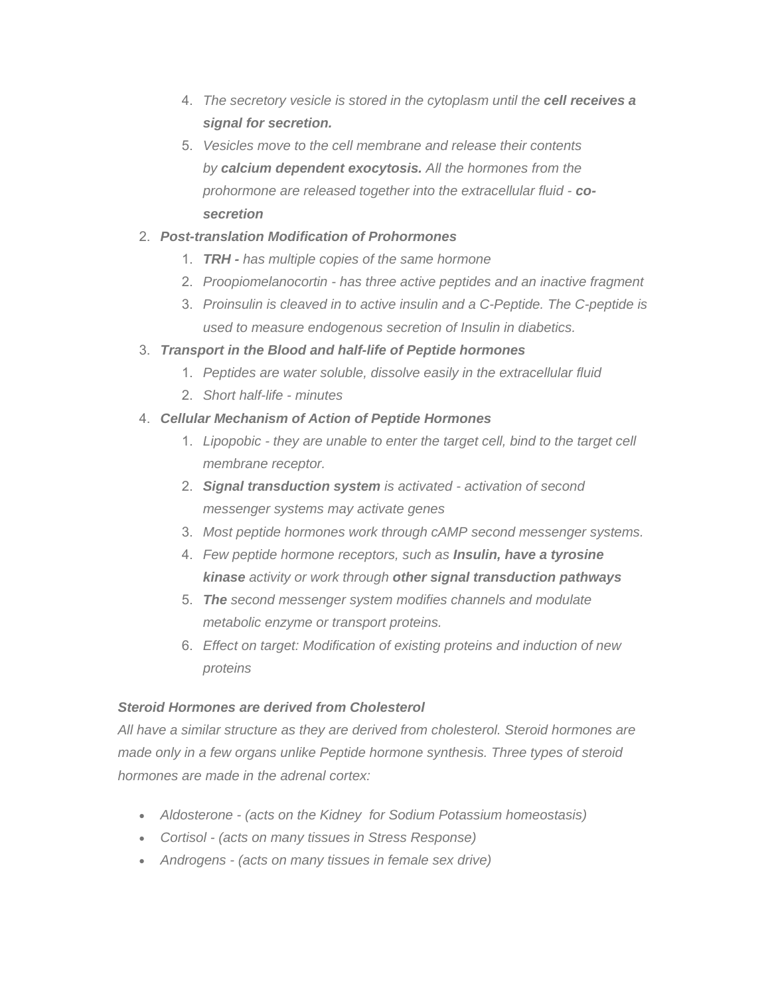- 4. *The secretory vesicle is stored in the cytoplasm until the cell receives a signal for secretion.*
- 5. *Vesicles move to the cell membrane and release their contents by calcium dependent exocytosis. All the hormones from the prohormone are released together into the extracellular fluid - cosecretion*

#### 2. *Post-translation Modification of Prohormones*

- 1. *TRH has multiple copies of the same hormone*
- 2. *Proopiomelanocortin has three active peptides and an inactive fragment*
- 3. *Proinsulin is cleaved in to active insulin and a C-Peptide. The C-peptide is used to measure endogenous secretion of Insulin in diabetics.*
- 3. *Transport in the Blood and half-life of Peptide hormones*
	- 1. *Peptides are water soluble, dissolve easily in the extracellular fluid*
	- 2. *Short half-life minutes*

### 4. *Cellular Mechanism of Action of Peptide Hormones*

- 1. *Lipopobic they are unable to enter the target cell, bind to the target cell membrane receptor.*
- 2. *Signal transduction system is activated activation of second messenger systems may activate genes*
- 3. *Most peptide hormones work through cAMP second messenger systems.*
- 4. *Few peptide hormone receptors, such as Insulin, have a tyrosine kinase activity or work through other signal transduction pathways*
- 5. *The second messenger system modifies channels and modulate metabolic enzyme or transport proteins.*
- 6. *Effect on target: Modification of existing proteins and induction of new proteins*

#### *Steroid Hormones are derived from Cholesterol*

*All have a similar structure as they are derived from cholesterol. Steroid hormones are made only in a few organs unlike Peptide hormone synthesis. Three types of steroid hormones are made in the adrenal cortex:*

- *Aldosterone (acts on the Kidney for Sodium Potassium homeostasis)*
- *Cortisol (acts on many tissues in Stress Response)*
- *Androgens (acts on many tissues in female sex drive)*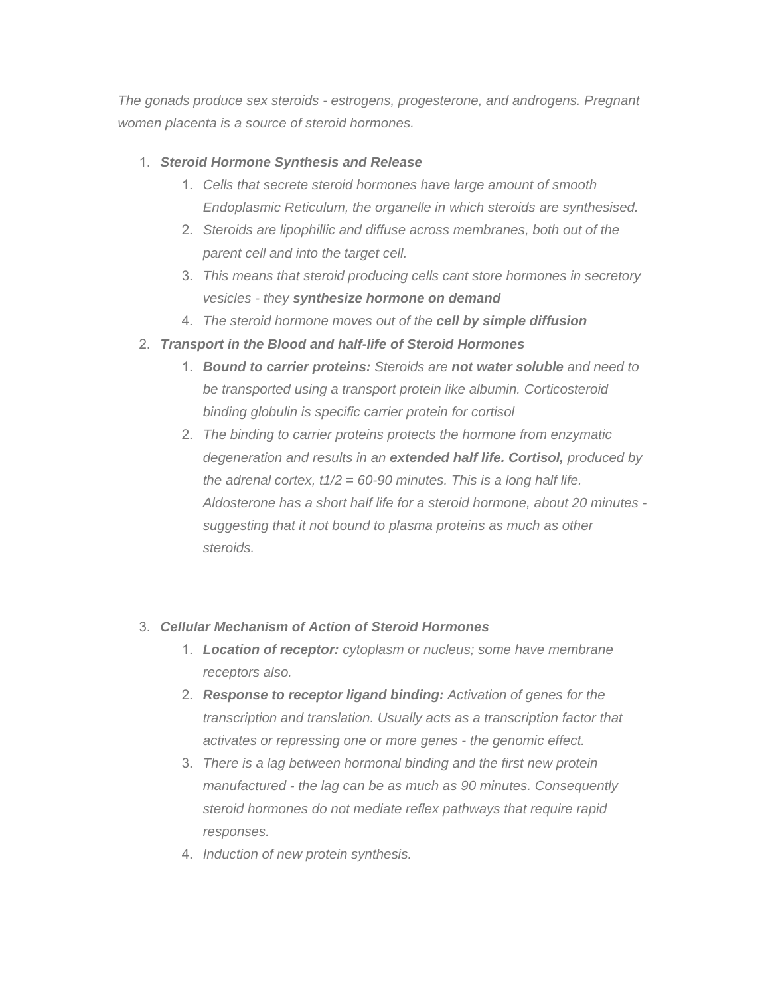*The gonads produce sex steroids - estrogens, progesterone, and androgens. Pregnant women placenta is a source of steroid hormones.* 

#### 1. *Steroid Hormone Synthesis and Release*

- 1. *Cells that secrete steroid hormones have large amount of smooth Endoplasmic Reticulum, the organelle in which steroids are synthesised.*
- 2. *Steroids are lipophillic and diffuse across membranes, both out of the parent cell and into the target cell.*
- 3. *This means that steroid producing cells cant store hormones in secretory vesicles - they synthesize hormone on demand*
- 4. *The steroid hormone moves out of the cell by simple diffusion*

### 2. *Transport in the Blood and half-life of Steroid Hormones*

- 1. *Bound to carrier proteins: Steroids are not water soluble and need to be transported using a transport protein like albumin. Corticosteroid binding globulin is specific carrier protein for cortisol*
- 2. *The binding to carrier proteins protects the hormone from enzymatic degeneration and results in an extended half life. Cortisol, produced by the adrenal cortex, t1/2 = 60-90 minutes. This is a long half life. Aldosterone has a short half life for a steroid hormone, about 20 minutes suggesting that it not bound to plasma proteins as much as other steroids.*

#### 3. *Cellular Mechanism of Action of Steroid Hormones*

- 1. *Location of receptor: cytoplasm or nucleus; some have membrane receptors also.*
- 2. *Response to receptor ligand binding: Activation of genes for the transcription and translation. Usually acts as a transcription factor that activates or repressing one or more genes - the genomic effect.*
- 3. *There is a lag between hormonal binding and the first new protein manufactured - the lag can be as much as 90 minutes. Consequently steroid hormones do not mediate reflex pathways that require rapid responses.*
- 4. *Induction of new protein synthesis.*